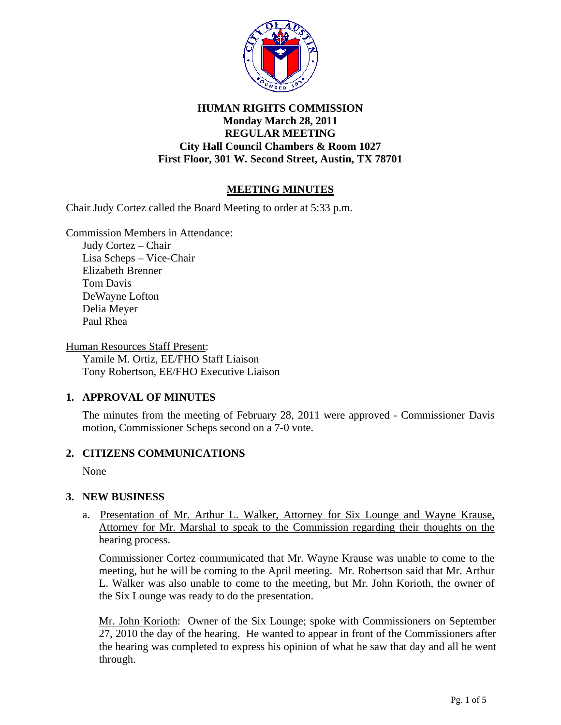

## **HUMAN RIGHTS COMMISSION Monday March 28, 2011 REGULAR MEETING City Hall Council Chambers & Room 1027 First Floor, 301 W. Second Street, Austin, TX 78701**

# **MEETING MINUTES**

Chair Judy Cortez called the Board Meeting to order at 5:33 p.m.

Commission Members in Attendance:

Judy Cortez – Chair Lisa Scheps – Vice-Chair Elizabeth Brenner Tom Davis DeWayne Lofton Delia Meyer Paul Rhea

Human Resources Staff Present: Yamile M. Ortiz, EE/FHO Staff Liaison Tony Robertson, EE/FHO Executive Liaison

### **1. APPROVAL OF MINUTES**

The minutes from the meeting of February 28, 2011 were approved - Commissioner Davis motion, Commissioner Scheps second on a 7-0 vote.

### **2. CITIZENS COMMUNICATIONS**

None

### **3. NEW BUSINESS**

a.Presentation of Mr. Arthur L. Walker, Attorney for Six Lounge and Wayne Krause, Attorney for Mr. Marshal to speak to the Commission regarding their thoughts on the hearing process.

Commissioner Cortez communicated that Mr. Wayne Krause was unable to come to the meeting, but he will be coming to the April meeting. Mr. Robertson said that Mr. Arthur L. Walker was also unable to come to the meeting, but Mr. John Korioth, the owner of the Six Lounge was ready to do the presentation.

Mr. John Korioth: Owner of the Six Lounge; spoke with Commissioners on September 27, 2010 the day of the hearing. He wanted to appear in front of the Commissioners after the hearing was completed to express his opinion of what he saw that day and all he went through.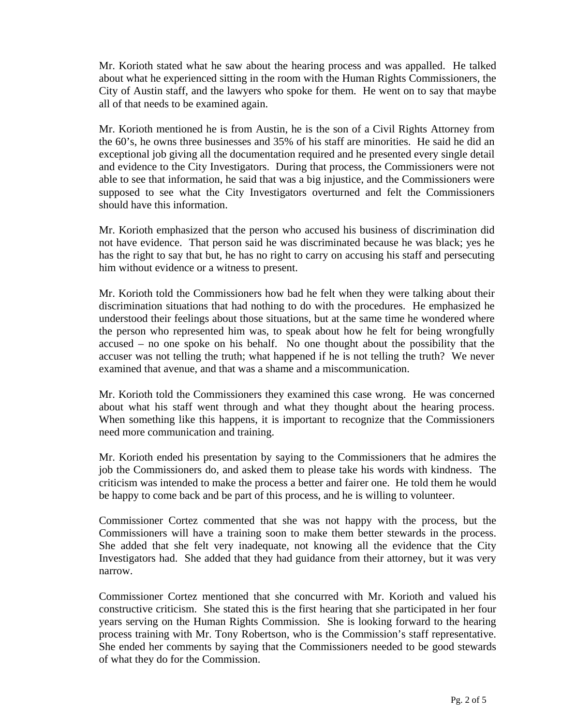Mr. Korioth stated what he saw about the hearing process and was appalled. He talked about what he experienced sitting in the room with the Human Rights Commissioners, the City of Austin staff, and the lawyers who spoke for them. He went on to say that maybe all of that needs to be examined again.

Mr. Korioth mentioned he is from Austin, he is the son of a Civil Rights Attorney from the 60's, he owns three businesses and 35% of his staff are minorities. He said he did an exceptional job giving all the documentation required and he presented every single detail and evidence to the City Investigators. During that process, the Commissioners were not able to see that information, he said that was a big injustice, and the Commissioners were supposed to see what the City Investigators overturned and felt the Commissioners should have this information.

Mr. Korioth emphasized that the person who accused his business of discrimination did not have evidence. That person said he was discriminated because he was black; yes he has the right to say that but, he has no right to carry on accusing his staff and persecuting him without evidence or a witness to present.

Mr. Korioth told the Commissioners how bad he felt when they were talking about their discrimination situations that had nothing to do with the procedures. He emphasized he understood their feelings about those situations, but at the same time he wondered where the person who represented him was, to speak about how he felt for being wrongfully accused – no one spoke on his behalf. No one thought about the possibility that the accuser was not telling the truth; what happened if he is not telling the truth? We never examined that avenue, and that was a shame and a miscommunication.

Mr. Korioth told the Commissioners they examined this case wrong. He was concerned about what his staff went through and what they thought about the hearing process. When something like this happens, it is important to recognize that the Commissioners need more communication and training.

Mr. Korioth ended his presentation by saying to the Commissioners that he admires the job the Commissioners do, and asked them to please take his words with kindness. The criticism was intended to make the process a better and fairer one. He told them he would be happy to come back and be part of this process, and he is willing to volunteer.

Commissioner Cortez commented that she was not happy with the process, but the Commissioners will have a training soon to make them better stewards in the process. She added that she felt very inadequate, not knowing all the evidence that the City Investigators had. She added that they had guidance from their attorney, but it was very narrow.

Commissioner Cortez mentioned that she concurred with Mr. Korioth and valued his constructive criticism. She stated this is the first hearing that she participated in her four years serving on the Human Rights Commission. She is looking forward to the hearing process training with Mr. Tony Robertson, who is the Commission's staff representative. She ended her comments by saying that the Commissioners needed to be good stewards of what they do for the Commission.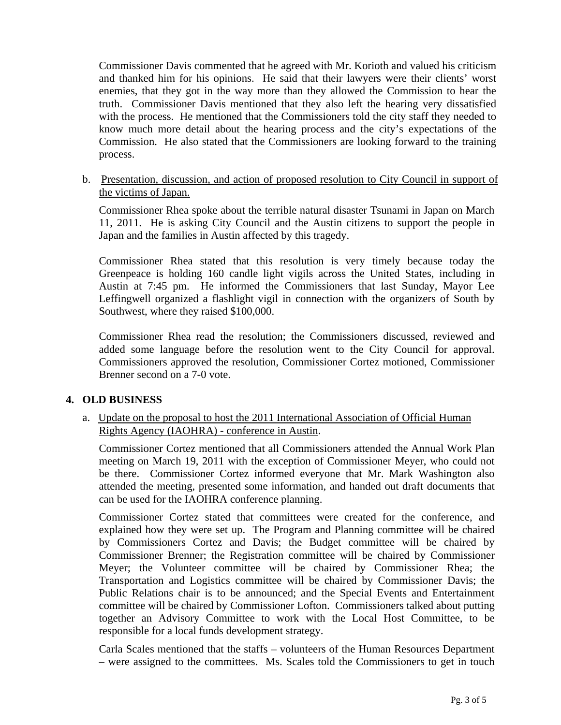Commissioner Davis commented that he agreed with Mr. Korioth and valued his criticism and thanked him for his opinions. He said that their lawyers were their clients' worst enemies, that they got in the way more than they allowed the Commission to hear the truth. Commissioner Davis mentioned that they also left the hearing very dissatisfied with the process. He mentioned that the Commissioners told the city staff they needed to know much more detail about the hearing process and the city's expectations of the Commission. He also stated that the Commissioners are looking forward to the training process.

b. Presentation, discussion, and action of proposed resolution to City Council in support of the victims of Japan.

Commissioner Rhea spoke about the terrible natural disaster Tsunami in Japan on March 11, 2011. He is asking City Council and the Austin citizens to support the people in Japan and the families in Austin affected by this tragedy.

Commissioner Rhea stated that this resolution is very timely because today the Greenpeace is holding 160 candle light vigils across the United States, including in Austin at 7:45 pm. He informed the Commissioners that last Sunday, Mayor Lee Leffingwell organized a flashlight vigil in connection with the organizers of South by Southwest, where they raised \$100,000.

Commissioner Rhea read the resolution; the Commissioners discussed, reviewed and added some language before the resolution went to the City Council for approval. Commissioners approved the resolution, Commissioner Cortez motioned, Commissioner Brenner second on a 7-0 vote.

## **4. OLD BUSINESS**

### a. Update on the proposal to host the 2011 International Association of Official Human Rights Agency (IAOHRA) - conference in Austin.

Commissioner Cortez mentioned that all Commissioners attended the Annual Work Plan meeting on March 19, 2011 with the exception of Commissioner Meyer, who could not be there. Commissioner Cortez informed everyone that Mr. Mark Washington also attended the meeting, presented some information, and handed out draft documents that can be used for the IAOHRA conference planning.

 Commissioner Cortez stated that committees were created for the conference, and explained how they were set up. The Program and Planning committee will be chaired by Commissioners Cortez and Davis; the Budget committee will be chaired by Commissioner Brenner; the Registration committee will be chaired by Commissioner Meyer; the Volunteer committee will be chaired by Commissioner Rhea; the Transportation and Logistics committee will be chaired by Commissioner Davis; the Public Relations chair is to be announced; and the Special Events and Entertainment committee will be chaired by Commissioner Lofton. Commissioners talked about putting together an Advisory Committee to work with the Local Host Committee, to be responsible for a local funds development strategy.

 Carla Scales mentioned that the staffs – volunteers of the Human Resources Department – were assigned to the committees. Ms. Scales told the Commissioners to get in touch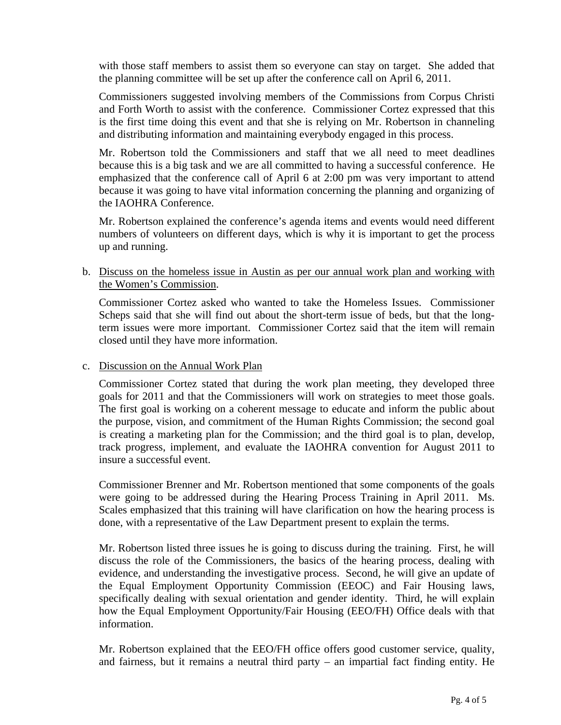with those staff members to assist them so everyone can stay on target. She added that the planning committee will be set up after the conference call on April 6, 2011.

 Commissioners suggested involving members of the Commissions from Corpus Christi and Forth Worth to assist with the conference. Commissioner Cortez expressed that this is the first time doing this event and that she is relying on Mr. Robertson in channeling and distributing information and maintaining everybody engaged in this process.

 Mr. Robertson told the Commissioners and staff that we all need to meet deadlines because this is a big task and we are all committed to having a successful conference. He emphasized that the conference call of April 6 at 2:00 pm was very important to attend because it was going to have vital information concerning the planning and organizing of the IAOHRA Conference.

 Mr. Robertson explained the conference's agenda items and events would need different numbers of volunteers on different days, which is why it is important to get the process up and running.

b. Discuss on the homeless issue in Austin as per our annual work plan and working with the Women's Commission.

Commissioner Cortez asked who wanted to take the Homeless Issues. Commissioner Scheps said that she will find out about the short-term issue of beds, but that the longterm issues were more important. Commissioner Cortez said that the item will remain closed until they have more information.

### c. Discussion on the Annual Work Plan

Commissioner Cortez stated that during the work plan meeting, they developed three goals for 2011 and that the Commissioners will work on strategies to meet those goals. The first goal is working on a coherent message to educate and inform the public about the purpose, vision, and commitment of the Human Rights Commission; the second goal is creating a marketing plan for the Commission; and the third goal is to plan, develop, track progress, implement, and evaluate the IAOHRA convention for August 2011 to insure a successful event.

Commissioner Brenner and Mr. Robertson mentioned that some components of the goals were going to be addressed during the Hearing Process Training in April 2011. Ms. Scales emphasized that this training will have clarification on how the hearing process is done, with a representative of the Law Department present to explain the terms.

Mr. Robertson listed three issues he is going to discuss during the training. First, he will discuss the role of the Commissioners, the basics of the hearing process, dealing with evidence, and understanding the investigative process. Second, he will give an update of the Equal Employment Opportunity Commission (EEOC) and Fair Housing laws, specifically dealing with sexual orientation and gender identity. Third, he will explain how the Equal Employment Opportunity/Fair Housing (EEO/FH) Office deals with that information.

Mr. Robertson explained that the EEO/FH office offers good customer service, quality, and fairness, but it remains a neutral third party – an impartial fact finding entity. He